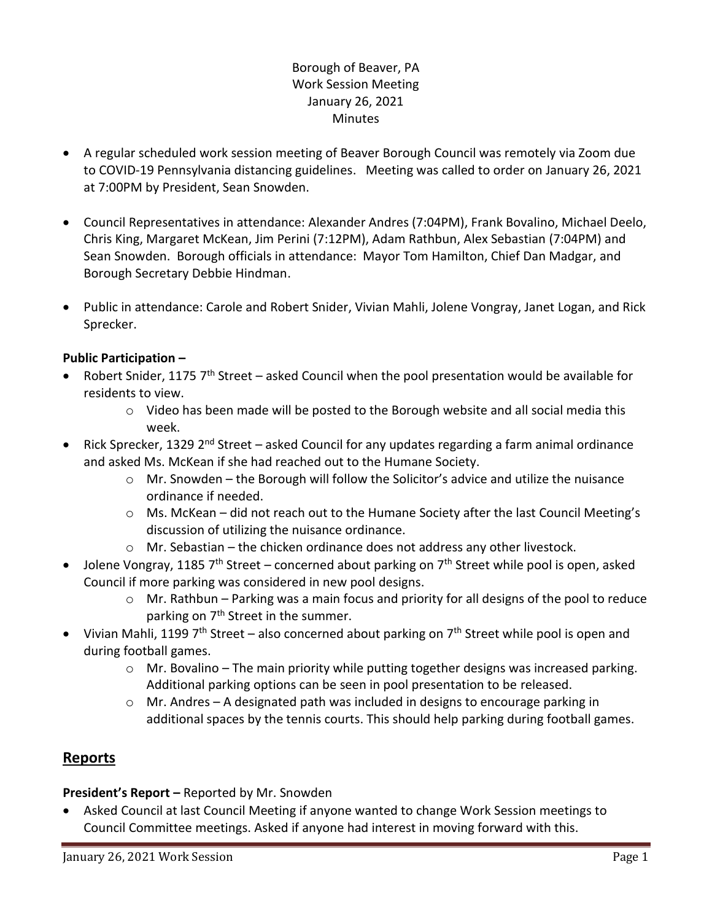### Borough of Beaver, PA Work Session Meeting January 26, 2021 **Minutes**

- A regular scheduled work session meeting of Beaver Borough Council was remotely via Zoom due to COVID-19 Pennsylvania distancing guidelines. Meeting was called to order on January 26, 2021 at 7:00PM by President, Sean Snowden.
- Council Representatives in attendance: Alexander Andres (7:04PM), Frank Bovalino, Michael Deelo, Chris King, Margaret McKean, Jim Perini (7:12PM), Adam Rathbun, Alex Sebastian (7:04PM) and Sean Snowden. Borough officials in attendance: Mayor Tom Hamilton, Chief Dan Madgar, and Borough Secretary Debbie Hindman.
- Public in attendance: Carole and Robert Snider, Vivian Mahli, Jolene Vongray, Janet Logan, and Rick Sprecker.

### **Public Participation –**

- Robert Snider, 1175 7<sup>th</sup> Street asked Council when the pool presentation would be available for residents to view.
	- $\circ$  Video has been made will be posted to the Borough website and all social media this week.
- Rick Sprecker, 1329 2<sup>nd</sup> Street asked Council for any updates regarding a farm animal ordinance and asked Ms. McKean if she had reached out to the Humane Society.
	- o Mr. Snowden the Borough will follow the Solicitor's advice and utilize the nuisance ordinance if needed.
	- o Ms. McKean did not reach out to the Humane Society after the last Council Meeting's discussion of utilizing the nuisance ordinance.
	- o Mr. Sebastian the chicken ordinance does not address any other livestock.
- Jolene Vongray, 1185  $7<sup>th</sup>$  Street concerned about parking on  $7<sup>th</sup>$  Street while pool is open, asked Council if more parking was considered in new pool designs.
	- o Mr. Rathbun Parking was a main focus and priority for all designs of the pool to reduce parking on 7<sup>th</sup> Street in the summer.
- Vivian Mahli, 1199  $7<sup>th</sup>$  Street also concerned about parking on  $7<sup>th</sup>$  Street while pool is open and during football games.
	- $\circ$  Mr. Bovalino The main priority while putting together designs was increased parking. Additional parking options can be seen in pool presentation to be released.
	- $\circ$  Mr. Andres A designated path was included in designs to encourage parking in additional spaces by the tennis courts. This should help parking during football games.

# **Reports**

### **President's Report –** Reported by Mr. Snowden

• Asked Council at last Council Meeting if anyone wanted to change Work Session meetings to Council Committee meetings. Asked if anyone had interest in moving forward with this.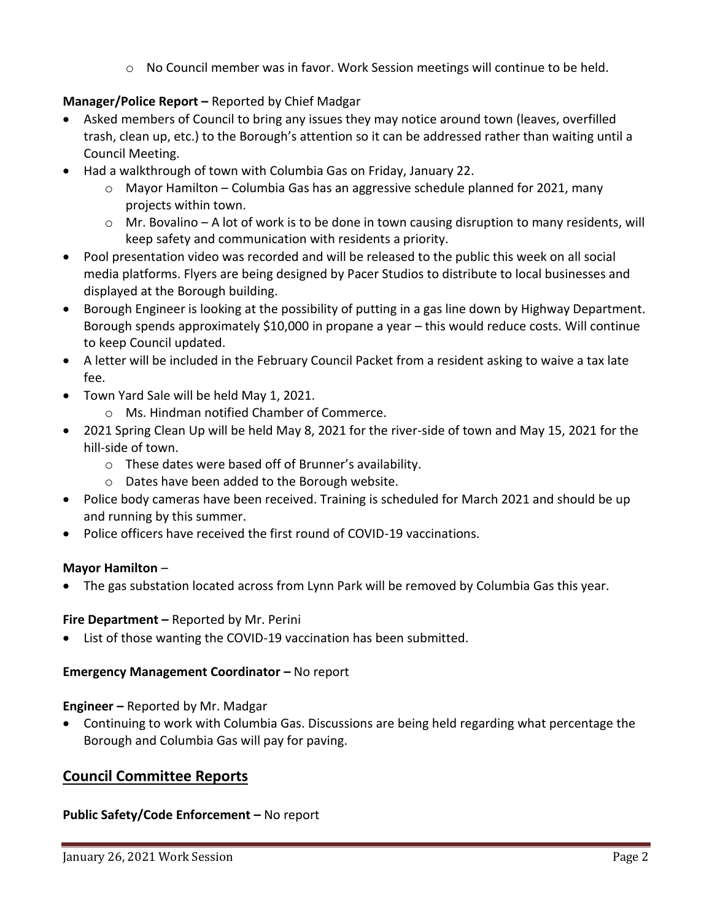$\circ$  No Council member was in favor. Work Session meetings will continue to be held.

## **Manager/Police Report –** Reported by Chief Madgar

- Asked members of Council to bring any issues they may notice around town (leaves, overfilled trash, clean up, etc.) to the Borough's attention so it can be addressed rather than waiting until a Council Meeting.
- Had a walkthrough of town with Columbia Gas on Friday, January 22.
	- $\circ$  Mayor Hamilton Columbia Gas has an aggressive schedule planned for 2021, many projects within town.
	- $\circ$  Mr. Bovalino A lot of work is to be done in town causing disruption to many residents, will keep safety and communication with residents a priority.
- Pool presentation video was recorded and will be released to the public this week on all social media platforms. Flyers are being designed by Pacer Studios to distribute to local businesses and displayed at the Borough building.
- Borough Engineer is looking at the possibility of putting in a gas line down by Highway Department. Borough spends approximately \$10,000 in propane a year – this would reduce costs. Will continue to keep Council updated.
- A letter will be included in the February Council Packet from a resident asking to waive a tax late fee.
- Town Yard Sale will be held May 1, 2021.
	- o Ms. Hindman notified Chamber of Commerce.
- 2021 Spring Clean Up will be held May 8, 2021 for the river-side of town and May 15, 2021 for the hill-side of town.
	- o These dates were based off of Brunner's availability.
	- o Dates have been added to the Borough website.
- Police body cameras have been received. Training is scheduled for March 2021 and should be up and running by this summer.
- Police officers have received the first round of COVID-19 vaccinations.

### **Mayor Hamilton** –

• The gas substation located across from Lynn Park will be removed by Columbia Gas this year.

### **Fire Department –** Reported by Mr. Perini

List of those wanting the COVID-19 vaccination has been submitted.

### **Emergency Management Coordinator - No report**

**Engineer –** Reported by Mr. Madgar

• Continuing to work with Columbia Gas. Discussions are being held regarding what percentage the Borough and Columbia Gas will pay for paving.

## **Council Committee Reports**

### **Public Safety/Code Enforcement –** No report